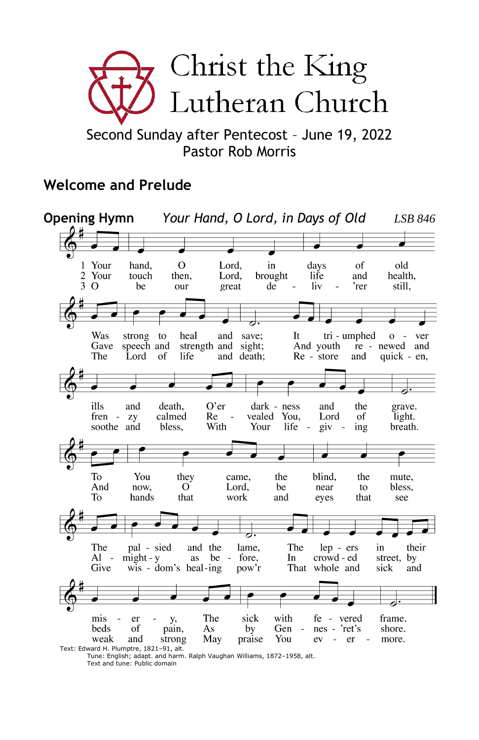

Second Sunday after Pentecost – June 19, 2022 Pastor Rob Morris

## **Welcome and Prelude**



Tune: English; adapt. and harm. Ralph Vaughan Williams, 1872–1958, alt. Text and tune: Public domain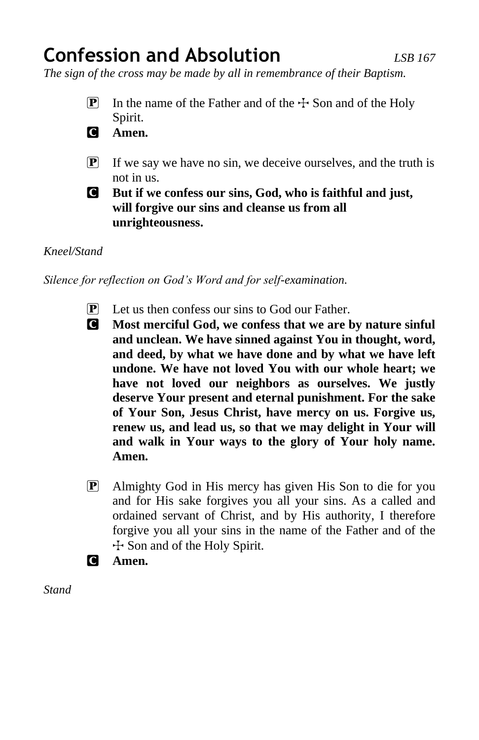# **Confession and Absolution** *LSB 167*

*The sign of the cross may be made by all in remembrance of their Baptism.*

- **P** In the name of the Father and of the  $\pm$  Son and of the Holy Spirit.
- C **Amen.**
- $\boxed{\mathbf{P}}$  If we say we have no sin, we deceive ourselves, and the truth is not in us.
- C **But if we confess our sins, God, who is faithful and just, will forgive our sins and cleanse us from all unrighteousness.**

## *Kneel/Stand*

*Silence for reflection on God's Word and for self-examination.*

- $\mathbf{P}$  Let us then confess our sins to God our Father.
- C **Most merciful God, we confess that we are by nature sinful and unclean. We have sinned against You in thought, word, and deed, by what we have done and by what we have left undone. We have not loved You with our whole heart; we have not loved our neighbors as ourselves. We justly deserve Your present and eternal punishment. For the sake of Your Son, Jesus Christ, have mercy on us. Forgive us, renew us, and lead us, so that we may delight in Your will and walk in Your ways to the glory of Your holy name. Amen.**
- P Almighty God in His mercy has given His Son to die for you and for His sake forgives you all your sins. As a called and ordained servant of Christ, and by His authority, I therefore forgive you all your sins in the name of the Father and of the  $\pm$  Son and of the Holy Spirit.
- C **Amen.**

*Stand*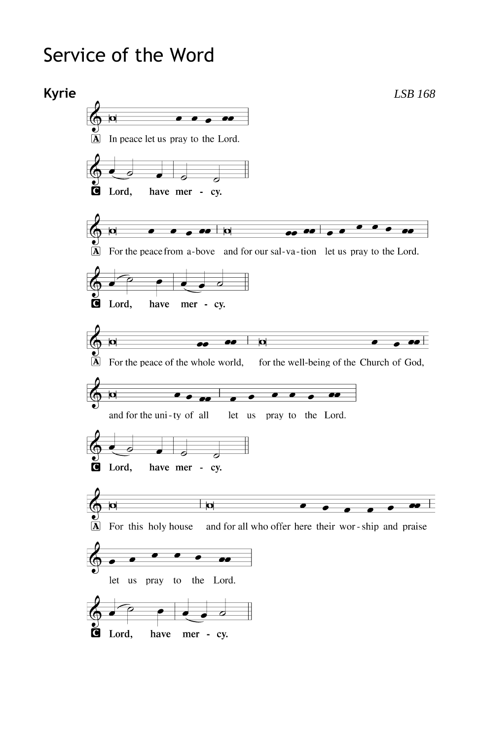# Service of the Word

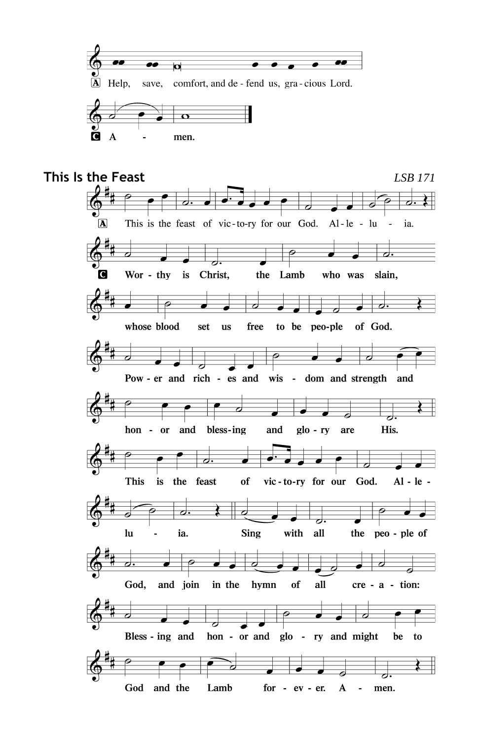

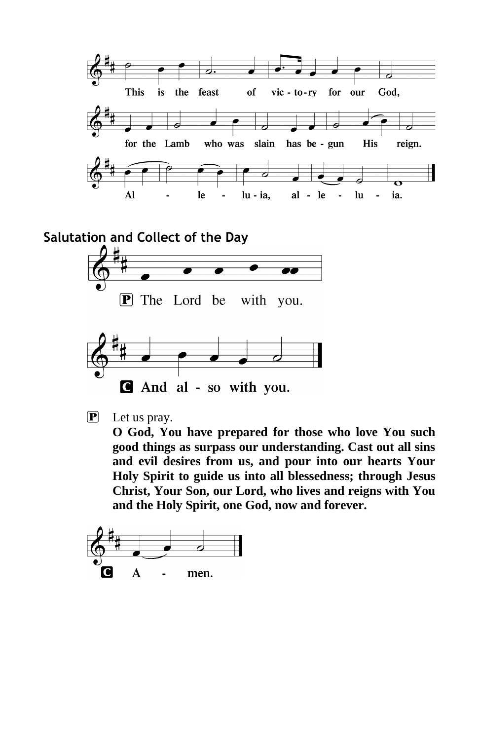

And al - so with you.

P Let us pray.

**O God, You have prepared for those who love You such good things as surpass our understanding. Cast out all sins and evil desires from us, and pour into our hearts Your Holy Spirit to guide us into all blessedness; through Jesus Christ, Your Son, our Lord, who lives and reigns with You and the Holy Spirit, one God, now and forever.**

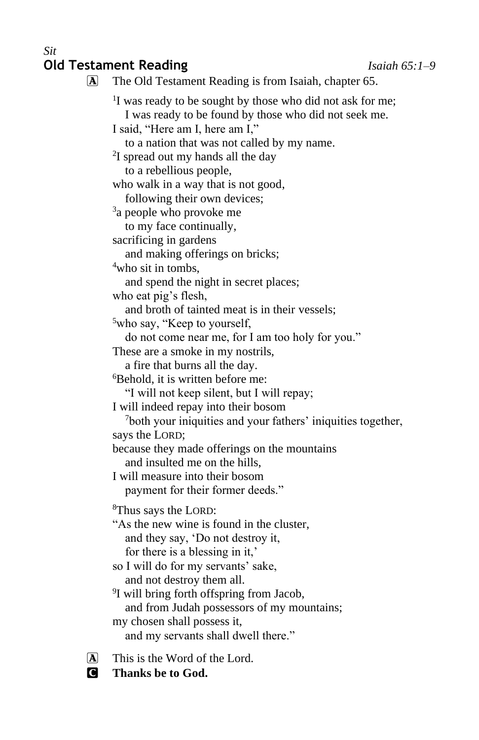#### *Sit* **Old Testament Reading** *Isaiah 65:1–9*

A The Old Testament Reading is from Isaiah, chapter 65. <sup>1</sup>I was ready to be sought by those who did not ask for me; I was ready to be found by those who did not seek me. I said, "Here am I, here am I," to a nation that was not called by my name. <sup>2</sup>I spread out my hands all the day to a rebellious people, who walk in a way that is not good, following their own devices; <sup>3</sup>a people who provoke me to my face continually, sacrificing in gardens and making offerings on bricks; <sup>4</sup>who sit in tombs, and spend the night in secret places; who eat pig's flesh, and broth of tainted meat is in their vessels; <sup>5</sup>who say, "Keep to yourself, do not come near me, for I am too holy for you." These are a smoke in my nostrils, a fire that burns all the day. <sup>6</sup>Behold, it is written before me: "I will not keep silent, but I will repay; I will indeed repay into their bosom <sup>7</sup>both your iniquities and your fathers' iniquities together, says the LORD; because they made offerings on the mountains and insulted me on the hills, I will measure into their bosom payment for their former deeds." <sup>8</sup>Thus says the LORD: "As the new wine is found in the cluster, and they say, 'Do not destroy it, for there is a blessing in it,' so I will do for my servants' sake, and not destroy them all. <sup>9</sup>I will bring forth offspring from Jacob, and from Judah possessors of my mountains; my chosen shall possess it, and my servants shall dwell there."

 $[A]$  This is the Word of the Lord.

C **Thanks be to God.**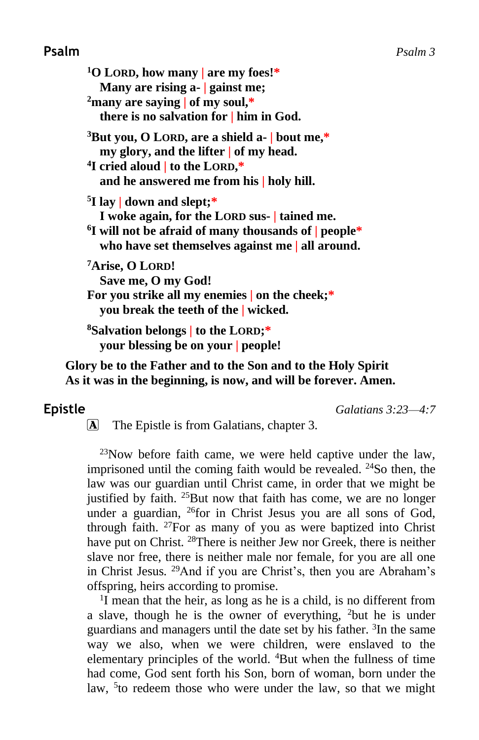## **Psalm** *Psalm 3*

**<sup>1</sup>O LORD, how many | are my foes!\* Many are rising a- | gainst me; <sup>2</sup>many are saying | of my soul,\* there is no salvation for | him in God. <sup>3</sup>But you, O LORD, are a shield a- | bout me,\* my glory, and the lifter | of my head. 4 I cried aloud | to the LORD,\* and he answered me from his | holy hill. 5 I lay | down and slept;\* I woke again, for the LORD sus- | tained me. 6 I will not be afraid of many thousands of | people\* who have set themselves against me | all around. <sup>7</sup>Arise, O LORD! Save me, O my God! For you strike all my enemies | on the cheek;\* you break the teeth of the | wicked. <sup>8</sup>Salvation belongs | to the LORD;\* your blessing be on your | people!**

**Glory be to the Father and to the Son and to the Holy Spirit As it was in the beginning, is now, and will be forever. Amen.**

**Epistle** *Galatians 3:23—4:7*

A The Epistle is from Galatians, chapter 3.

 $^{23}$ Now before faith came, we were held captive under the law, imprisoned until the coming faith would be revealed.  $24$ So then, the law was our guardian until Christ came, in order that we might be justified by faith.  $25$ But now that faith has come, we are no longer under a guardian, <sup>26</sup>for in Christ Jesus you are all sons of God, through faith.  $27$ For as many of you as were baptized into Christ have put on Christ. <sup>28</sup>There is neither Jew nor Greek, there is neither slave nor free, there is neither male nor female, for you are all one in Christ Jesus. <sup>29</sup>And if you are Christ's, then you are Abraham's offspring, heirs according to promise.

<sup>1</sup>I mean that the heir, as long as he is a child, is no different from a slave, though he is the owner of everything,  $2$ but he is under guardians and managers until the date set by his father. <sup>3</sup>In the same way we also, when we were children, were enslaved to the elementary principles of the world. <sup>4</sup>But when the fullness of time had come, God sent forth his Son, born of woman, born under the law, <sup>5</sup> to redeem those who were under the law, so that we might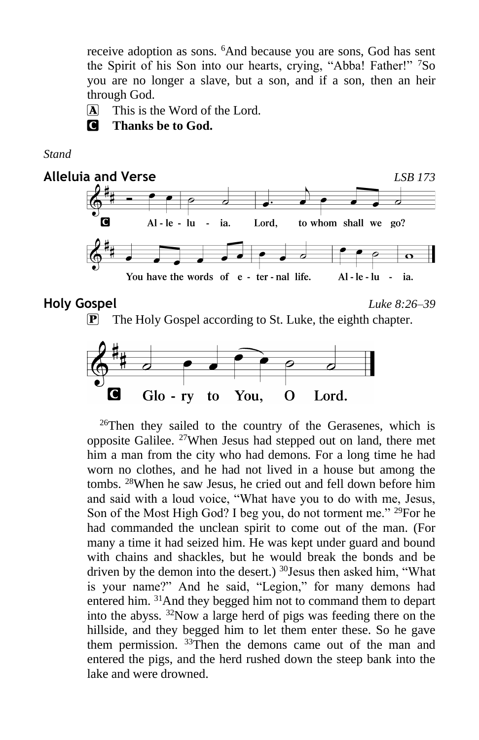receive adoption as sons. <sup>6</sup>And because you are sons, God has sent the Spirit of his Son into our hearts, crying, "Abba! Father!" <sup>7</sup>So you are no longer a slave, but a son, and if a son, then an heir through God.

A This is the Word of the Lord.

C **Thanks be to God.**

*Stand*









<sup>26</sup>Then they sailed to the country of the Gerasenes, which is opposite Galilee. <sup>27</sup>When Jesus had stepped out on land, there met him a man from the city who had demons. For a long time he had worn no clothes, and he had not lived in a house but among the tombs. <sup>28</sup>When he saw Jesus, he cried out and fell down before him and said with a loud voice, "What have you to do with me, Jesus, Son of the Most High God? I beg you, do not torment me." <sup>29</sup>For he had commanded the unclean spirit to come out of the man. (For many a time it had seized him. He was kept under guard and bound with chains and shackles, but he would break the bonds and be driven by the demon into the desert.) <sup>30</sup>Jesus then asked him, "What is your name?" And he said, "Legion," for many demons had entered him. <sup>31</sup>And they begged him not to command them to depart into the abyss. <sup>32</sup>Now a large herd of pigs was feeding there on the hillside, and they begged him to let them enter these. So he gave them permission. <sup>33</sup>Then the demons came out of the man and entered the pigs, and the herd rushed down the steep bank into the lake and were drowned.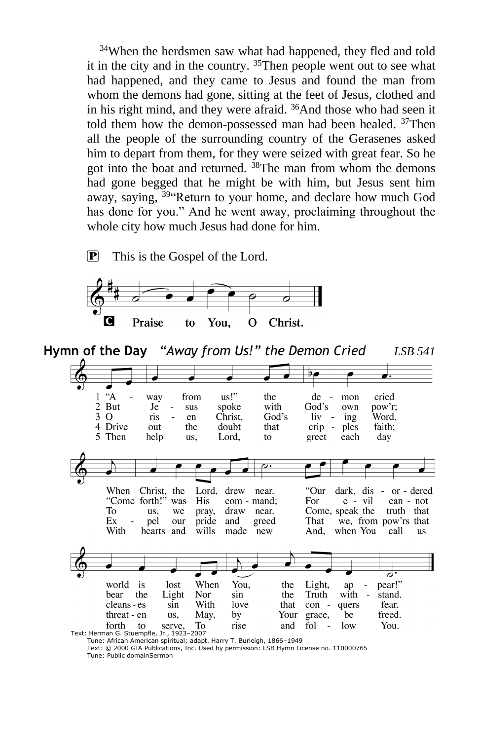<sup>34</sup>When the herdsmen saw what had happened, they fled and told it in the city and in the country. <sup>35</sup>Then people went out to see what had happened, and they came to Jesus and found the man from whom the demons had gone, sitting at the feet of Jesus, clothed and in his right mind, and they were afraid. <sup>36</sup>And those who had seen it told them how the demon-possessed man had been healed. <sup>37</sup>Then all the people of the surrounding country of the Gerasenes asked him to depart from them, for they were seized with great fear. So he got into the boat and returned. <sup>38</sup>The man from whom the demons had gone begged that he might be with him, but Jesus sent him away, saying, <sup>39"</sup>Return to your home, and declare how much God has done for you." And he went away, proclaiming throughout the whole city how much Jesus had done for him.

 $\boxed{\mathbf{P}}$  This is the Gospel of the Lord.



**Hymn of the Day** *"Away from Us!" the Demon Cried LSB 541*  $\overline{P}$  $A^4$ us!"  $\mathbf{1}$ way from the de mon cried  $\overline{c}$ But Je sus spoke with God's own pow'r:  $3<sub>0</sub>$ Christ, God's Word. ris en  $\lim$  ing doubt 4 Drive crip out the that ples faith; 5 Then help Lord, to greet each day us, When Christ, the Lord, drew near. "Our dark, dis ä, or - dered "Come forth!" was His com - mand; For e - vil can - not To Come, speak the us, we pray, draw near. truth that Ex pel pride and greed That we, from pow'rs that our **With** wills hearts and made new And. when You call **us** d. pear!" world is lost When You. the Light. ap bear Light Nor sin Truth with stand. the the  $\overline{a}$ cleans - es sin With love that con quers fear. threat - en May, be freed. us, by Your grace, You. forth to serve, To rise and fol low Text: Herman G. Stuempfle, Jr., 1923–2007 Tune: African American spiritual; adapt. Harry T. Burleigh, 1866–1949

Text: © 2000 GIA Publications, Inc. Used by permission: LSB Hymn License no. 110000765 Tune: Public domainSermon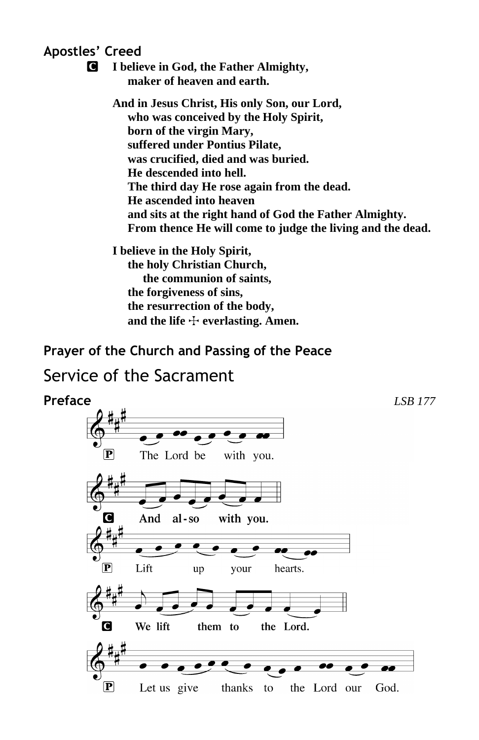**Apostles' Creed**

C **I believe in God, the Father Almighty, maker of heaven and earth.**

> **And in Jesus Christ, His only Son, our Lord, who was conceived by the Holy Spirit, born of the virgin Mary, suffered under Pontius Pilate, was crucified, died and was buried. He descended into hell. The third day He rose again from the dead. He ascended into heaven and sits at the right hand of God the Father Almighty. From thence He will come to judge the living and the dead.**

**I believe in the Holy Spirit, the holy Christian Church, the communion of saints, the forgiveness of sins, the resurrection of the body,** and the life  $\div$  everlasting. Amen.

## **Prayer of the Church and Passing of the Peace**

## Service of the Sacrament

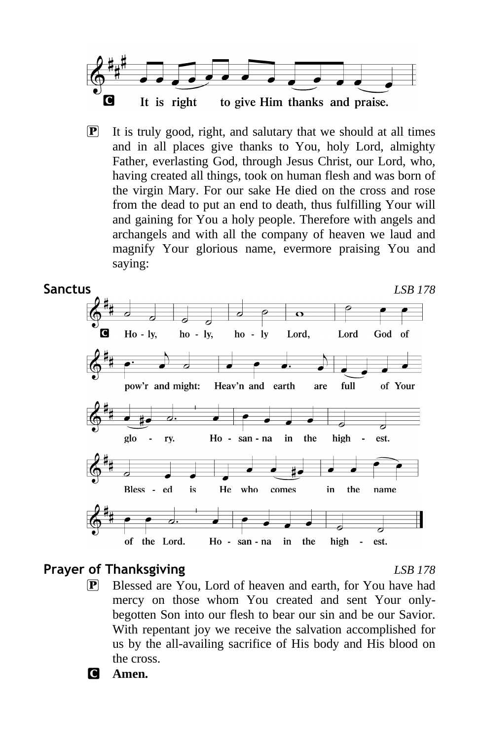

P It is truly good, right, and salutary that we should at all times and in all places give thanks to You, holy Lord, almighty Father, everlasting God, through Jesus Christ, our Lord, who, having created all things, took on human flesh and was born of the virgin Mary. For our sake He died on the cross and rose from the dead to put an end to death, thus fulfilling Your will and gaining for You a holy people. Therefore with angels and archangels and with all the company of heaven we laud and magnify Your glorious name, evermore praising You and saying:



## **Prayer of Thanksgiving** *LSB 178*

P Blessed are You, Lord of heaven and earth, for You have had mercy on those whom You created and sent Your onlybegotten Son into our flesh to bear our sin and be our Savior. With repentant joy we receive the salvation accomplished for us by the all-availing sacrifice of His body and His blood on the cross.

C **Amen.**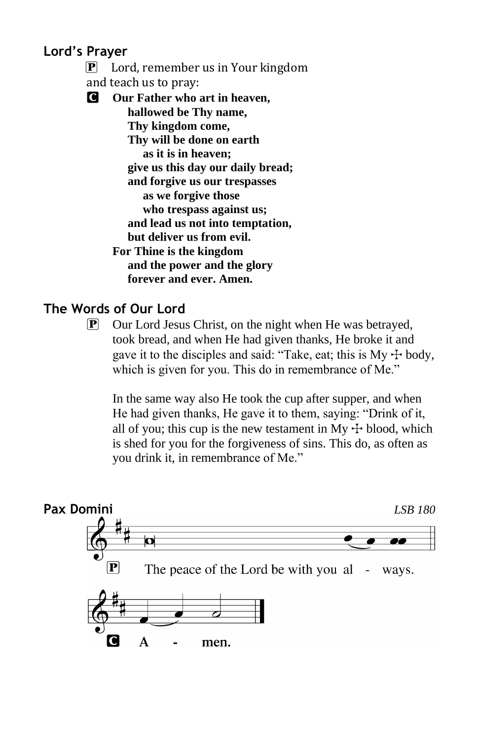## **Lord's Prayer**

 P Lord, remember us in Your kingdom and teach us to pray:

C **Our Father who art in heaven, hallowed be Thy name, Thy kingdom come, Thy will be done on earth as it is in heaven; give us this day our daily bread; and forgive us our trespasses as we forgive those who trespass against us; and lead us not into temptation, but deliver us from evil. For Thine is the kingdom and the power and the glory forever and ever. Amen.**

## **The Words of Our Lord**

P Our Lord Jesus Christ, on the night when He was betrayed, took bread, and when He had given thanks, He broke it and gave it to the disciples and said: "Take, eat; this is My  $+$  body, which is given for you. This do in remembrance of Me."

In the same way also He took the cup after supper, and when He had given thanks, He gave it to them, saying: "Drink of it, all of you; this cup is the new testament in My  $+$  blood, which is shed for you for the forgiveness of sins. This do, as often as you drink it, in remembrance of Me."

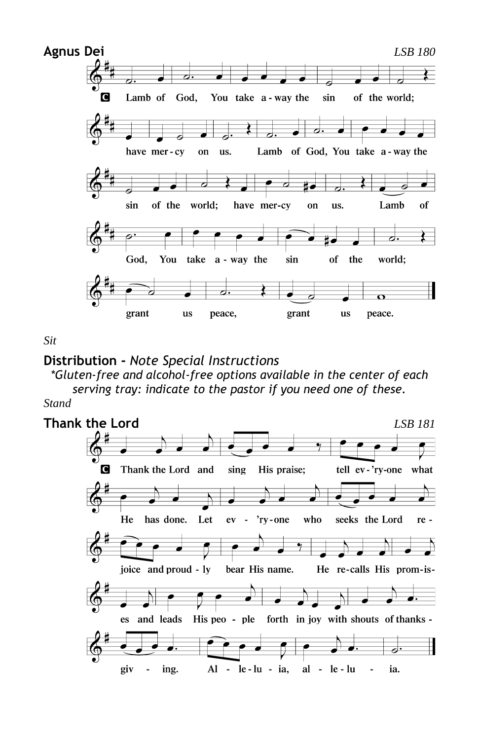

*Sit*

## **Distribution -** *Note Special Instructions*

*\*Gluten-free and alcohol-free options available in the center of each serving tray: indicate to the pastor if you need one of these.*

*Stand*

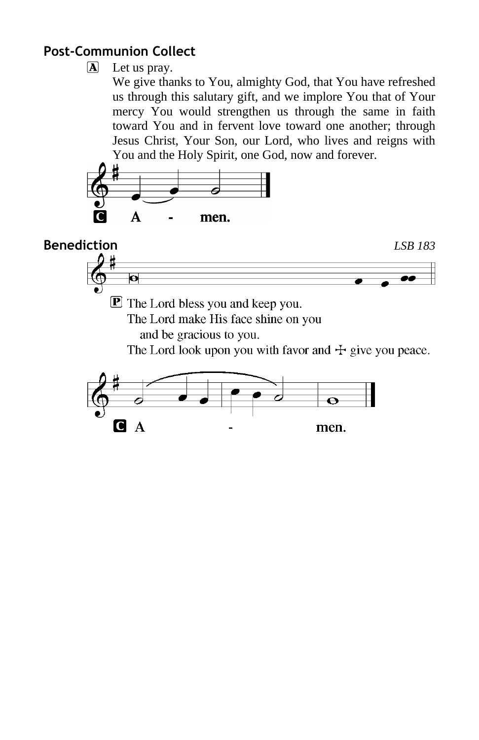## **Post-Communion Collect**

## $\overline{A}$  Let us pray.

We give thanks to You, almighty God, that You have refreshed us through this salutary gift, and we implore You that of Your mercy You would strengthen us through the same in faith toward You and in fervent love toward one another; through Jesus Christ, Your Son, our Lord, who lives and reigns with You and the Holy Spirit, one God, now and forever.



**Benediction** *LSB 183*

 $\bullet$ 

 $\mathbf{\mathbf{\mathbb{P}}}$  The Lord bless you and keep you.

The Lord make His face shine on you

and be gracious to you.

The Lord look upon you with favor and  $\pm$  give you peace.

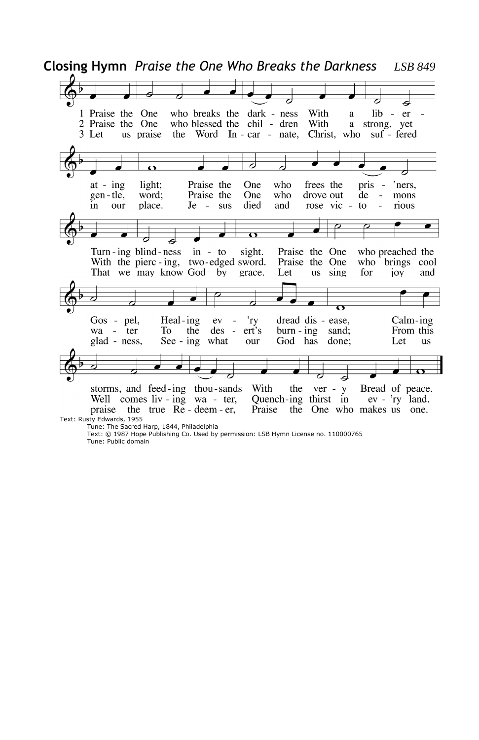**Closing Hymn** *Praise the One Who Breaks the Darkness LSB 849* J 1 Praise the One who breaks the dark - ness With  $\mathbf{a}$ lib - er 2 Praise the One who blessed the chil - dren With a strong, yet 3 Let us praise the Word In - car - nate, Christ, who suf - fered  $at - ing$ light; Praise the One who frees the pris -'ners, gen-tle, word: Praise the One who drove out de mons L, place. Je died and rose vic rious in our  $-$  sus to 77 7  $\mathbf \Omega$ a Turn-ing blind-ness  $in - to$ sight. Praise the One who preached the With the pierc-ing, two-edged sword. Praise the One who brings cool That we may know God by us sing for and grace. Let joy  $\overline{\mathbf{C}}$ Gos - pel, Heal-ing ev 'nу dread dis - ease. Calm-ing wa  $-$  ter To the des  $er<sup>3</sup>$ s  $burn - ing$ sand; From this  $\overline{\phantom{a}}$ God has glad - ness, See - ing what our done: Let us  $\overline{\phantom{a}}$ storms, and feed-ing thou-sands With the  $ver - y$ Bread of peace. Quench-ing thirst in ev - 'ry land. Well comes liv - ing wa - ter, praise the true Re-deem-er, Praise the One who makes us one. Text: Rusty Edwards, 1955 Tune: The Sacred Harp, 1844, Philadelphia

Text: © 1987 Hope Publishing Co. Used by permission: LSB Hymn License no. 110000765 Tune: Public domain